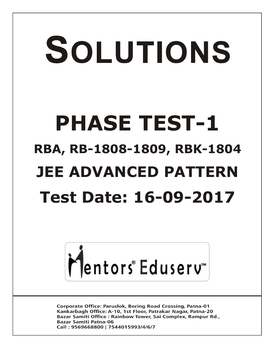# SOLUTIONS **PHASE TEST-1 RBA, RB-1808-1809, RBK-1804 JEE ADVANCED PATTERN Test Date: 16-09-2017**



**Corporate Office: Paruslok, Boring Road Crossing, Patna-01** Kankarbagh Office: A-10, 1st Floor, Patrakar Nagar, Patna-20 Bazar Samiti Office: Rainbow Tower, Sai Complex, Rampur Rd., **Bazar Samiti Patna-06** Call: 9569668800 | 7544015993/4/6/7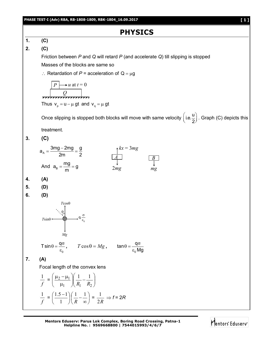## **PHYSICS**



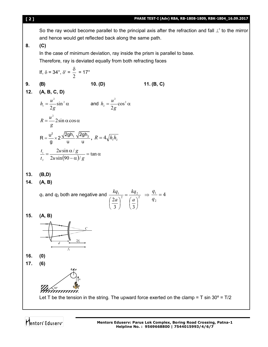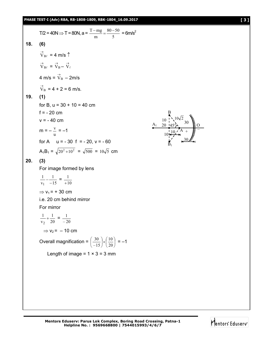T/2 = 40N ⇒ T = 80N, a = 
$$
\frac{T - mg}{m} = \frac{80 - 50}{5} = 6
$$
m/s<sup>2</sup>  
\n18. (6)  
\n $\vec{v}_{B\ell} = 4$  m/s  $\uparrow$   
\n $\vec{v}_{B\ell} = \vec{v}_B - \vec{v}_\ell$   
\n $4$  m/s =  $\vec{v}_B - 2$ m/s  
\n $\vec{v}_B = 4 + 2 = 6$  m/s.  
\n19. (1)  
\nfor B, u = 30 + 10 = 40 cm  
\nf = -20 cm  
\nv = -40 cm  
\nm =  $-\frac{v}{u} = -1$   
\nfor A u = -30 f = -20, v = -60  
\nA<sub>1</sub>B<sub>1</sub> =  $\sqrt{20^2 + 10^2} = \sqrt{500} = 10\sqrt{5}$  cm  
\n20. (3)  
\nFor image formed by lens  
\n $\frac{1}{v_1} - \frac{1}{-15} = \frac{1}{+10}$   
\n $\Rightarrow v_1 = +30$  cm  
\ni.e. 20 cm behind mirror  
\nFor mirror  
\n $\frac{1}{v_2} + \frac{1}{20} = \frac{1}{-20}$   
\n $\Rightarrow v_2 = -10$  cm  
\nOverall magnification =  $\left(\frac{30}{-15}\right) \times \left(\frac{10}{20}\right) = -1$   
\nLength of image = 1 × 3 = 3 mm



**Mentors Eduserv: Parus Lok Complex, Boring Road Crossing, Patna-1 Helpline No. : 9569668800 | 7544015993/4/6/7**

## Mentors<sup>e</sup> Eduserv<sup>-</sup>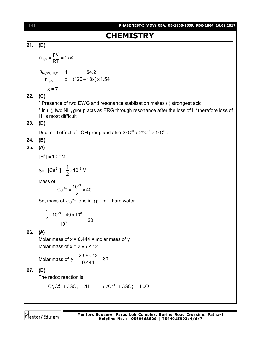| $[4]$ | PHASE TEST-I (ADV) RBA, RB-1808-1809, RBK-1804_16.09.2017                                                                                                 |
|-------|-----------------------------------------------------------------------------------------------------------------------------------------------------------|
|       | <b>CHEMISTRY</b>                                                                                                                                          |
| 21.   | (D)                                                                                                                                                       |
|       | $n_{H_2O} = \frac{pV}{RT} = 1.54$                                                                                                                         |
|       | $\frac{n_{MgSO_4\times H_2O}}{n_{H_2O}} = \frac{1}{x} = \frac{54.2}{(120+18x)\times 1.54}$                                                                |
|       | $x = 7$                                                                                                                                                   |
| 22.   | (C)                                                                                                                                                       |
|       | * Presence of two EWG and resonance stablisation makes (i) strongest acid                                                                                 |
|       | * In (ii), two NH <sub>2</sub> group acts as ERG through resonance after the loss of H <sup>+</sup> therefore loss of<br>H <sup>+</sup> is most difficult |
| 23.   | (D)                                                                                                                                                       |
|       | Due to -I effect of -OH group and also $3^{\circ}C^{\oplus} > 2^{\circ}C^{\oplus} > 1^{\circ}C^{\oplus}$ .                                                |
| 24.   | (B)                                                                                                                                                       |
| 25.   | (A)                                                                                                                                                       |
|       | $[H^+] = 10^{-3} M$                                                                                                                                       |
|       | So $[Ca^{2+}] = \frac{1}{2} \times 10^{-3}$ M                                                                                                             |
|       | Mass of<br>$Ca^{2+} = \frac{10^{-3}}{2} \times 40$                                                                                                        |
|       | So, mass of $Ca^{2+}$ ions in $10^6$ mL, hard water                                                                                                       |
|       | $=\frac{\frac{1}{2} \times 10^{-3} \times 40 \times 10^{6}}{2} = 20$<br>10 <sup>3</sup>                                                                   |
| 26.   | (A)                                                                                                                                                       |
|       | Molar mass of $x = 0.444 \times$ molar mass of y                                                                                                          |
|       | Molar mass of $x = 2.96 \times 12$                                                                                                                        |
|       | Molar mass of $y = \frac{2.96 \times 12}{0.444} = 80$                                                                                                     |
| 27.   | (B)                                                                                                                                                       |
|       | The redox reaction is:                                                                                                                                    |
|       | $Cr_2O_7^{2-} + 3SO_2 + 2H^+ \longrightarrow 2Cr^{3+} + 3SO_4^{2-} + H_2O$                                                                                |
|       |                                                                                                                                                           |
|       | Mentors Eduserv: Parus Lok Complex, Boring Road Crossing, Patna-1<br>Mentors Eduserv<br>Helpline No.: 9569668800   7544015993/4/6/7                       |

**Helpline No. : 9569668800 | 7544015993/4/6/7**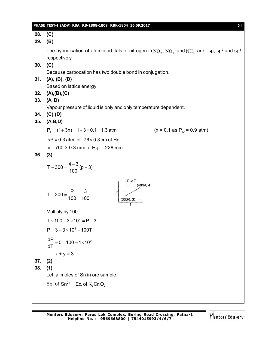|     | PHASE TEST-I (ADV) RBA, RB-1808-1809, RBK-1804_16.09.2017<br>[5]                                                                   |
|-----|------------------------------------------------------------------------------------------------------------------------------------|
| 28. | (C)                                                                                                                                |
| 29. | (B)                                                                                                                                |
|     |                                                                                                                                    |
|     | The hybridisation of atomic orbitals of nitrogen in $NO_2^*$ , $NO_3^-$ and $NH_4^+$ are : sp, sp <sup>2</sup> and sp <sup>3</sup> |
|     | respectively.                                                                                                                      |
| 30. | (C)                                                                                                                                |
|     | Because carbocation has two double bond in conjugation.                                                                            |
| 31. | (A), (B), (D)                                                                                                                      |
|     | Based on lattice energy                                                                                                            |
| 32. | (A), (B), (C)                                                                                                                      |
| 33. | (A, D)                                                                                                                             |
|     | Vapour pressure of liquid is only and only temperature dependent.                                                                  |
| 34. | (C), (D)                                                                                                                           |
| 35. | (A,B,D)                                                                                                                            |
|     | $(x = 0.1$ as $P_{AF} = 0.9$ atm)<br>$P_{\tau} = (1 + 3x) = 1 + 3 \times 0.1 = 1.3$ atm                                            |
|     | $\Delta P = 0.3$ atm or $76 \times 0.3$ cm of Hg                                                                                   |
|     | or $760 \times 0.3$ mm of Hg = 228 mm                                                                                              |
| 36. | (3)                                                                                                                                |
|     |                                                                                                                                    |
|     | $T - 300 = \frac{4-3}{100} (p-3)$                                                                                                  |
|     | P oc T                                                                                                                             |
|     | (400K, 4)                                                                                                                          |
|     | $T-300 = \frac{P}{100} - \frac{3}{100}$<br>P                                                                                       |
|     |                                                                                                                                    |
|     | Multiply by 100                                                                                                                    |
|     | $T \times 100 - 3 \times 10^4 = P - 3$                                                                                             |
|     |                                                                                                                                    |
|     | $P = 3 - 3 \times 10^4 + 100T$                                                                                                     |
|     | $\frac{dP}{dT} = 0 + 100 = 1 \times 10^2$                                                                                          |
|     |                                                                                                                                    |
|     | $x + y = 3$                                                                                                                        |
| 37. | (2)                                                                                                                                |
| 38. | (1)                                                                                                                                |
|     | Let 'a' moles of Sn in ore sample                                                                                                  |
|     | Eq. of $Sn^{2+}$ = Eq. of $K_2Cr_2O_7$                                                                                             |
|     |                                                                                                                                    |
|     |                                                                                                                                    |
|     |                                                                                                                                    |

Mentors<sup>e</sup> Eduserv<sup>-</sup>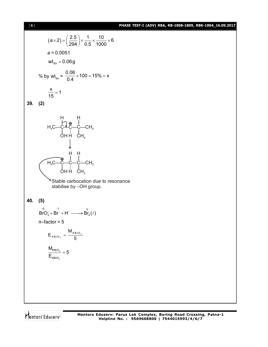### [ **6** ] **PHASE TEST-I (ADV) RBA, RB-1808-1809, RBK-1804\_16.09.2017**

$$
(a \times 2) = \left(\frac{2.5}{294}\right) \times \frac{1}{0.5} \times \frac{10}{1000} \times 6
$$
  
\na = 0.0051  
\nwt<sub>sn</sub> = 0.06g  
\n% by wt<sub>sn</sub> =  $\frac{0.06}{0.4} \times 100 = 15\% = x$   
\n $\frac{x}{15} = 1$   
\n39. (2)  
\nH<sub>15</sub>C-C-C-C-H<sub>3</sub>  
\n $H_1C-C-C-C-CH_3$   
\n $H_1CH_3$   
\n $H_1C-C-C-C-CH_3$   
\n $H_1CH_3$   
\n $H_1CH_1$   
\n $H_1CH_3$   
\n $H_1CH_1$   
\n $H_1CH_1$   
\n $H_1CH_1$   
\n $H_1CH_1$   
\n $H_1CH_1$   
\n $H_1CH_1$   
\n $H_1CH_1$   
\n $H_1CH_1$   
\n $H_1CH_1$   
\n $H_1CH_1$   
\n $H_1CH_1$   
\n $H_1CH_1$   
\n $H_1CH_1$   
\n $H_1CH_1$   
\n $H_1CH_1$   
\n $H_1CH_1$   
\n $H_1CH_1$   
\n $H_1CH_1$   
\n $H_1CH_1$   
\n $H_1CH_1$   
\n $H_1CH_1$   
\n $H_1CH_1$   
\n $H_1CH_1$   
\n $H_1CH_1$   
\n $H_1CH_1$   
\n $H_1CH_1$   
\n $H_1CH_1$   
\n $H_1CH_1$   
\n $H_1CH_1$   
\n $H_1CH_1$   
\n $H_1CH_1$   
\n $H_1CH_1$   
\n<

Mentors<sup>e</sup> Eduserv<sup>-</sup>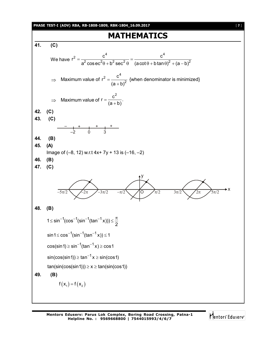

Mentors Eduserv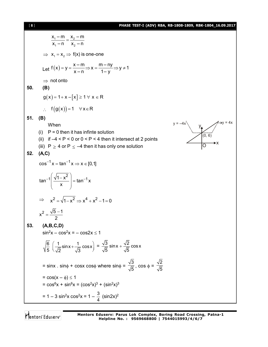[ **8** ] **PHASE TEST-I (ADV) RBA, RB-1808-1809, RBK-1804\_16.09.2017**

 $1 - \cdots - 2$ 1  $\frac{11}{2}$  $x_1 - m$   $x_2 - m$  $x_1 - n$   $x_2 - n$  $=$  $\Rightarrow$   $x_1 = x_2 \Rightarrow f(x)$  is one-one Let  $f(x) = y = \frac{x-m}{x-n} \Rightarrow x = \frac{m-ny}{1-y} \Rightarrow y \ne 1$ x – n 1– y  $y = \frac{x + 12}{2} \Rightarrow x = \frac{11 + 13}{4} \Rightarrow y \neq 1$  $\Rightarrow$  not onto **50. (B)**  $g(x) = 1 + x - [x] \ge 1 \forall x \in R$  $f(g(x)) = 1 \quad \forall x \in R$ **51. (B)** When (i)  $P = 0$  then it has infinte solution (0, 6)  $y = -4x$   $\qquad \qquad y = 4x$ y O x (ii) if  $-4 < P < 0$  or  $0 < P < 4$  then it intersect at 2 points (iii)  $P \ge 4$  or  $P \le -4$  then it has only one solution **52. (A,C)**  $\cos^{-1} x = \tan^{-1} x \Rightarrow x \in [0,1]$ tan<sup>-1</sup>  $\left| \frac{\sqrt{1-x^2}}{2} \right|$  = tan<sup>-1</sup> x x  $-1\left(\frac{\sqrt{1-x^2}}{1-x}\right) = \tan^{-1}$  $\begin{pmatrix} x \\ y \end{pmatrix}$  $\Rightarrow x^2 = \sqrt{1-x^2} \Rightarrow x^4 + x^2 - 1 = 0$  $x^2 = \frac{\sqrt{5}-1}{2}$ 2  $=\frac{\sqrt{5}-\sqrt{2}}{2}$ **53. (A,B,C,D)**  $sin^2x - cos^2x = -cos2x \le 1$  $\frac{6}{5}$   $\left(\frac{1}{5}\sin x + \frac{1}{5}\cos x\right)$ 5  $\sqrt{2}$   $\sqrt{3}$  $\left(\frac{1}{\sqrt{2}}\sin x + \frac{1}{\sqrt{3}}\cos x\right) = \frac{\sqrt{3}}{\sqrt{5}}\sin x + \frac{\sqrt{2}}{\sqrt{5}}\cos x$ 5 5  $^{+}$  $=$  sinx . sin $\phi$  + cosx cos $\phi$  where sin $\phi$  = 3  $\frac{1}{5}$ , cos  $\phi =$ 2 5  $= cos(x - \phi) \le 1$ =  $\cos^6 x + \sin^6 x = (\cos^2 x)^3 + (\sin^2 x)^3$ = 1 – 3 sin<sup>2</sup>x cos<sup>2</sup>x = 1 –  $\frac{3}{4}$ 4  $(sin2x)^2$ 

Mentors<sup>®</sup> Eduserv<sup>®</sup>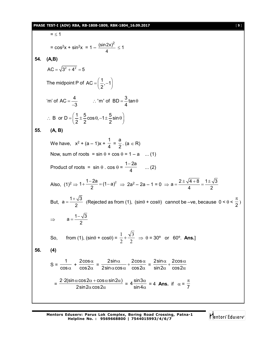#### **PHASE TEST-I (ADV) RBA, RB-1808-1809, RBK-1804\_16.09.2017** [ **9** ]

 $= < 1$ =  $\cos^2 x + \sin^2 x = 1 - \frac{(\sin 2x)^2}{4}$  $\frac{2n}{4}$   $\leq$  1 **54. (A,B)**  $AC = \sqrt{3^2 + 4^2} = 5$ The midpoint P of AC =  $\left(\frac{1}{2}, -1\right)$ 2  $=\left(\frac{1}{2},-1\right)$ 'm' of  $AC = \frac{4}{2}$  : 'm' of  $BD = \frac{3}{4}$ tan  $3 \qquad \qquad 4$  $=$   $\frac{1}{2}$   $\therefore$  'm' of BD =  $\frac{3}{2}$ tan $\theta$ -B or D =  $\left(\frac{1}{2} \pm \frac{5}{2} \cos \theta, -1 \pm \frac{5}{2} \sin \theta\right)$  $\therefore$  B or D =  $\left(\frac{1}{2} \pm \frac{5}{2} \cos \theta, -1 \pm \frac{5}{2} \sin \theta\right)$ **55. (A, B)** We have,  $x^2 + (a - 1)x +$ 1  $\frac{1}{4}$  = a  $\frac{1}{2}$ . (a  $\in$  R) Now, sum of roots =  $\sin \theta$  +  $\cos \theta$  = 1 – a ... (1) Product of roots =  $\sin \theta \cdot \cos \theta =$  $1 - 2a$ 4  $\frac{-2a}{4}$  ... (2) Also,  $(1)^2 \Rightarrow 1 + \frac{1-2a}{2} = (1-a)^2$ 2  $+\frac{1-2a}{2} = (1-a)^2 \Rightarrow 2a^2 - 2a - 1 = 0 \Rightarrow a = \frac{2 \pm \sqrt{4+8}}{4} = \frac{1 \pm \sqrt{3}}{2}$ 4 2  $=\frac{2\pm\sqrt{4+8}}{4}=\frac{1\pm\sqrt{4+1}}{2}$ But,  $a = \frac{1 + \sqrt{3}}{2}$ 2  $=\frac{1+\sqrt{3}}{2}$  (Rejected as from (1), (sin $\theta$  + cos $\theta$ ) cannot be –ve, because 0 <  $\theta$  <  $\frac{\pi}{2}$ )  $\Rightarrow$  a= $\frac{1-\sqrt{3}}{2}$ 2  $=$  $\frac{1-$ So, from (1), (sin $\theta$  + cos $\theta$ ) = 2 3 2  $\frac{1}{2} + \frac{\sqrt{3}}{2}$   $\Rightarrow$   $\theta = 30^{\circ}$  or 60°. Ans.] **56. (4)**  $S =$ 1  $\frac{1}{\cos \alpha}$  + 2cos cos2  $\alpha$  $\frac{\alpha}{\alpha}$  = 2sin $\alpha$  2cos 2sin  $\alpha$  cos  $\alpha$  cos 2  $\frac{\alpha}{\alpha}$  +  $\frac{2\cos\alpha}{\alpha}$  $\frac{\sin \alpha}{\alpha \cos \alpha} + \frac{\cos \alpha}{\cos 2\alpha} =$ 2sin $\alpha$  2cos sin2 $\alpha$  cos2  $\frac{\alpha}{\alpha} + \frac{2\cos\alpha}{\alpha}$  $\alpha$  cos2 $\alpha$  = 2 · 2(sin  $\alpha\cos2\alpha$  +  $\cos\alpha\sin2\alpha$  ) 2sin 2 $\alpha$  cos 2  $\alpha \cos 2\alpha$  +  $\cos \alpha \sin 2\alpha$  )  $\frac{\cos \alpha + \cos \alpha \sin 2\alpha}{\cos 2\alpha} = 4 \frac{\sin 3\alpha}{\sin 4}$ sin4  $\alpha$  $\frac{\pi}{\alpha}$  = 4 **Ans.** if  $\alpha = \frac{\pi}{7}$  $\pi$ 

**Mentors Eduserv: Parus Lok Complex, Boring Road Crossing, Patna-1 Helpline No. : 9569668800 | 7544015993/4/6/7**

Mentors Eduserv